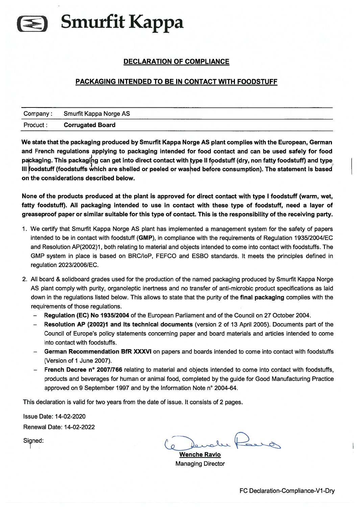## Smurfit Kappa

## DECLARATION OF COMPLIANCE

## PACKAGING INTENDED TO BE IN CONTACT WITH FOODSTUFF

|           | Company: Smurfit Kappa Norge AS |  |
|-----------|---------------------------------|--|
| Product : | <b>Corrugated Board</b>         |  |

We state that the packaging produced by Smurfit Kappa Norge AS plant complies with the European, German and French regulations applying to packaging intended for food contact and can be used safely for food packaging. This packaging can get into direct contact with type II foodstuff (dry, non fatty foodstuff) and type III foodstuff (foodstuffs which are shelled or peeled or washed before consumption). The statement is based on the considerations described below.

None of the products produced at the plant is approved for direct contact with type I foodstuff (warm, wet, fatty foodstuff). All packaging intended to use in contact with these type of foodstuff, need <sup>a</sup> Iayer of greaseproof paper or similar suitable for this type of contact. This is the responsibility of the receiving party.

- 1. We certify that Smurfit Kappa Norge AS plant has implemented <sup>a</sup> managemen<sup>t</sup> system for the safety of papers intended to be in contact with foodstuff (GMP), in compliance with the requirements of Regulation 1935120041EC and Resolution AP(2002)1, both relating to material and objects intended to come into contact with foodstuffs. The GMP system in place is based on BRC/IoP, FEFCO and ESBO standards. It meets the principles defined in regulation 2023/2006/EC.
- 2. All board & solidboard grades used for the production of the named packaging produced by Smurfit Kappa Norge AS plant comply with purity, organoleptic inertness and no transfer of anti-microbic product specifications as laid down in the regulations listed below. This allows to state that the purity of the final packaging complies with the requirements of those regulations.
	- Regulation (EC) No 193512004 of the European Parliament and of the Council on 27 October 2004.
	- Resolution AP (2002)1 and its technical documents (version 2 of 13 April 2005). Documents par<sup>t</sup> of the Council of Europe's policy statements concerning paper and board materials and articles intended to come into contact with foodstuffs.
	- German Recommendation BfR XXXVI on papers and boards intended to come into contact with foodstuffs (Version of I June 2007).
	- French Decree <sup>n</sup>° 20071766 relating to material and objects intended to come into contact with foodstuffs, products and beverages for human or animal food, completed by the guide for Good Manufacturing Practice approved on 9 September 1997 and by the Information Note <sup>n</sup>° 2004-64.

This deciaration is valid for two years from the date of issue. It consists of 2 pages.

lssue Date: 14-02-2020 Renewal Date: 14-02-2022

Signed:

Wenche Ravlo Managing Director